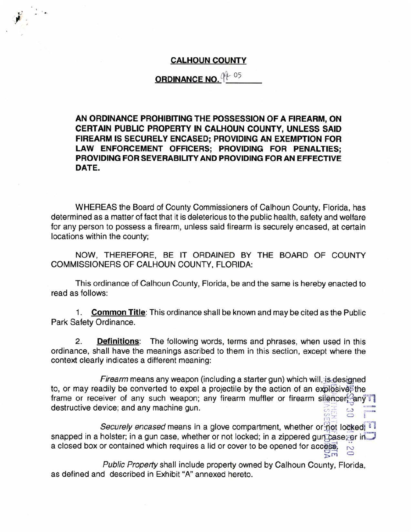## **CALHOUN COUNTY**

## **ORDINANCE NO.**

**AN ORDINANCE PROHIBITING THE POSSESSION OF A FIREARM, ON CERTAIN PUBLIC PROPERTY IN CALHOUN COUNTY, UNLESS SAID FIREARM IS SECURELY ENCASED; PROVIDING AN EXEMPTION FOR LAW ENFORCEMENT OFFICERS; PROVIDING FOR PENALTIES; PROVIDING FOR SEVERABILITY AND PROVIDING FOR AN EFFECTIVE DATE.** 

WHEREAS the Board of County Commissioners of Calhoun County, Florida, has determined as a matter of fact that it is deleterious to the public health, safety and welfare for any person to possess a firearm, unless said firearm is securely encased, at certain locations within the county;

NOW, THEREFORE, BE IT ORDAINED BY THE BOARD OF COUNTY COMMISSIONERS OF CALHOUN COUNTY, FLORIDA:

This ordinance of Calhoun County, Florida, be and the same is hereby enacted to read as follows:

1. **Common Title:** This ordinance shall be known and may be cited as the Public Park Safety Ordinance.

2. **Definitions:** The following words, terms and phrases, when used in this ordinance, shall have the meanings ascribed to them in this section, except where the context clearly indicates a different meaning:

Firearm means any weapon (including a starter gun) which will, is designed to, or may readily be converted to expel a projectile by the action of an explosive the frame or receiver of any such weapon; any firearm muffler or firearm silencereany destructive device; and any machine gun.  $gg$   $\overline{a}$   $\overline{b}$   $\overline{c}$   $\overline{c}$ 

Securely encased means in a glove compartment, whether or:not locked; snapped in a holster; in a gun case, whether or not locked; in a zippered gun case; or in a closed box or contained which requires a lid or cover to be opened for access,  $\frac{1}{100}$ 

Public Property shall include property owned by Calhoun County, Florida, as defined and described in Exhibit "A" annexed hereto.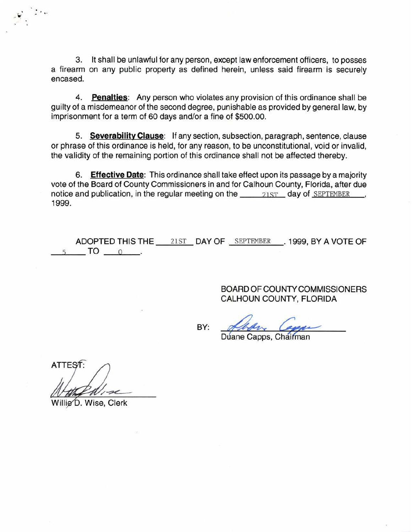3. It shall be unlawful for any person, except law enforcement officers, to posses a firearm on any public property as defined herein, unless said firearm is securely encased.

4. **Penalties:** Any person who violates any provision of this ordinance shall be guilty of a misdemeanor of the second degree, punishable as provided by general law, by imprisonment for a term of 60 days and/or a fine of \$500.00.

5. **Severability Clause:** If any section, subsection, paragraph, sentence, clause or phrase of this ordinance is held, for any reason, to be unconstitutional, void or invalid, the validity of the remaining portion of this ordinance shall not be affected thereby.

6. **Effective Date:** This ordinance shall take effect upon its passage by a majority vote of the Board of County Commissioners in and for Calhoun County, Florida, after due notice and publication, in the regular meeting on the  $21ST$  day of SEPTEMBER 1999.

ADOPTED THIS THE  $\_\_$  21ST \_ DAY OF \_ SEPTEMBER \_\_\_. 1999, BY A VOTE OF  $5$  TO  $0$  .

BY:

BOARD OF COUNTY COMMISSIONERS CALHOUN COUNTY, FLORIDA

Duane Capps, Chairman

**ATTEST** 

Willie D. Wise, Clerk

*..* : .

 $\cdot$  .